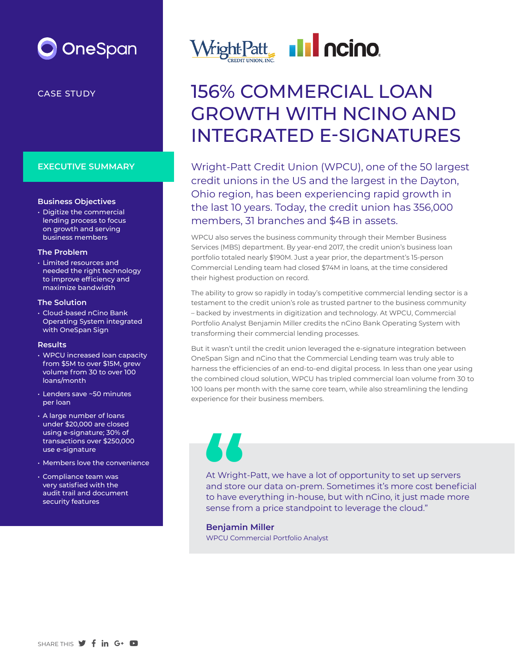# OneSpan

#### **EXECUTIVE SUMMARY**

#### **Business Objectives**

• Digitize the commercial lending process to focus on growth and serving business members

#### **The Problem**

• Limited resources and needed the right technology to improve efficiency and maximize bandwidth

#### **The Solution**

• Cloud-based nCino Bank Operating System integrated with OneSpan Sign

#### **Results**

- WPCU increased loan capacity from \$5M to over \$15M, grew volume from 30 to over 100 loans/month
- Lenders save ~50 minutes per loan
- A large number of loans under \$20,000 are closed using e-signature; 30% of transactions over \$250,000 use e-signature
- Members love the convenience
- Compliance team was very satisfied with the audit trail and document security features



## CASE STUDY 156% COMMERCIAL LOAN GROWTH WITH NCINO AND INTEGRATED E-SIGNATURES

Wright-Patt Credit Union (WPCU), one of the 50 largest credit unions in the US and the largest in the Dayton, Ohio region, has been experiencing rapid growth in the last 10 years. Today, the credit union has 356,000 members, 31 branches and \$4B in assets.

WPCU also serves the business community through their Member Business Services (MBS) department. By year-end 2017, the credit union's business loan portfolio totaled nearly \$190M. Just a year prior, the department's 15-person Commercial Lending team had closed \$74M in loans, at the time considered their highest production on record.

The ability to grow so rapidly in today's competitive commercial lending sector is a testament to the credit union's role as trusted partner to the business community – backed by investments in digitization and technology. At WPCU, Commercial Portfolio Analyst Benjamin Miller credits the nCino Bank Operating System with transforming their commercial lending processes.

But it wasn't until the credit union leveraged the e-signature integration between OneSpan Sign and nCino that the Commercial Lending team was truly able to harness the efficiencies of an end-to-end digital process. In less than one year using the combined cloud solution, WPCU has tripled commercial loan volume from 30 to 100 loans per month with the same core team, while also streamlining the lending experience for their business members.

At Wright-Patt, we have a lot of opportunity to set up servers and store our data on-prem. Sometimes it's more cost beneficial to have everything in-house, but with nCino, it just made more sense from a price standpoint to leverage the cloud." At Wright<br>
and store<br>
to have ev<br>
sense fro

#### **Benjamin Miller**

WPCU Commercial Portfolio Analyst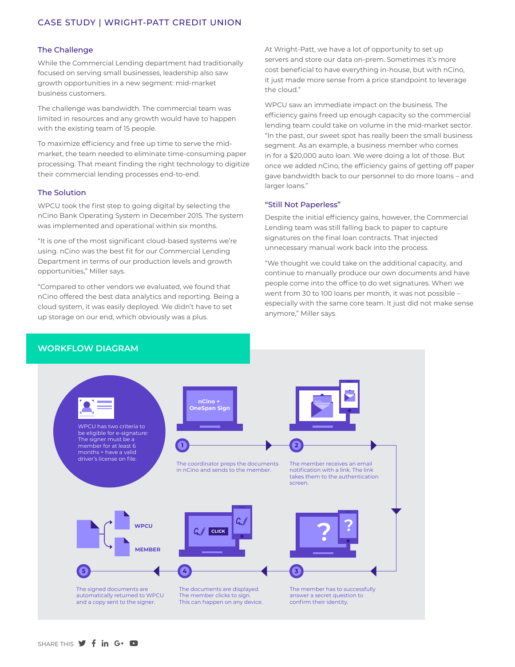#### CASE STUDY | WRIGHT-PATT CREDIT UNION

#### The Challenge

While the Commercial Lending department had traditionally focused on serving small businesses, leadership also saw growth opportunities in a new segment: mid-market business customers.

The challenge was bandwidth. The commercial team was limited in resources and any growth would have to happen with the existing team of 15 people.

To maximize efficiency and free up time to serve the midmarket, the team needed to eliminate time-consuming paper processing. That meant finding the right technology to digitize their commercial lending processes end-to-end.

#### The Solution

WPCU took the first step to going digital by selecting the nCino Bank Operating System in December 2015. The system was implemented and operational within six months.

"It is one of the most significant cloud-based systems we're using. nCino was the best fit for our Commercial Lending Department in terms of our production levels and growth opportunities," Miller says.

"Compared to other vendors we evaluated, we found that nCino offered the best data analytics and reporting. Being a cloud system, it was easily deployed. We didn't have to set up storage on our end, which obviously was a plus.

At Wright-Patt, we have a lot of opportunity to set up servers and store our data on-prem. Sometimes it's more cost beneficial to have everything in-house, but with nCino, it just made more sense from a price standpoint to leverage the cloud."

WPCU saw an immediate impact on the business. The efficiency gains freed up enough capacity so the commercial lending team could take on volume in the mid-market sector. "In the past, our sweet spot has really been the small business segment. As an example, a business member who comes in for a \$20,000 auto loan. We were doing a lot of those. But once we added nCino, the efficiency gains of getting off paper gave bandwidth back to our personnel to do more loans – and larger loans."

#### "Still Not Paperless"

Despite the initial efficiency gains, however, the Commercial Lending team was still falling back to paper to capture signatures on the final loan contracts. That injected unnecessary manual work back into the process.

"We thought we could take on the additional capacity, and continue to manually produce our own documents and have people come into the office to do wet signatures. When we went from 30 to 100 loans per month, it was not possible – especially with the same core team. It just did not make sense anymore," Miller says.

#### **WORKFLOW DIAGRAM**



SHARE THIS **y** f in G+ **D**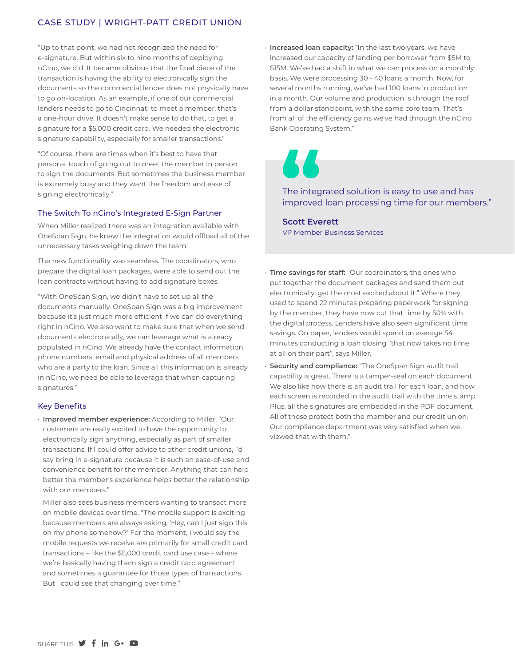### CASE STUDY | WRIGHT-PATT CREDIT UNION

"Up to that point, we had not recognized the need for e-signature. But within six to nine months of deploying nCino, we did. It became obvious that the final piece of the transaction is having the ability to electronically sign the documents so the commercial lender does not physically have to go on-location. As an example, if one of our commercial lenders needs to go to Cincinnati to meet a member, that's a one-hour drive. It doesn't make sense to do that, to get a signature for a \$5,000 credit card. We needed the electronic signature capability, especially for smaller transactions."

"Of course, there are times when it's best to have that personal touch of going out to meet the member in person to sign the documents. But sometimes the business member is extremely busy and they want the freedom and ease of signing electronically."

#### The Switch To nCino's Integrated E-Sign Partner

When Miller realized there was an integration available with OneSpan Sign, he knew the integration would offload all of the unnecessary tasks weighing down the team.

The new functionality was seamless. The coordinators, who prepare the digital loan packages, were able to send out the loan contracts without having to add signature boxes.

"With OneSpan Sign, we didn't have to set up all the documents manually. OneSpan Sign was a big improvement because it's just much more efficient if we can do everything right in nCino. We also want to make sure that when we send documents electronically, we can leverage what is already populated in nCino. We already have the contact information, phone numbers, email and physical address of all members who are a party to the loan. Since all this information is already in nCino, we need be able to leverage that when capturing signatures."

#### Key Benefits

• **Improved member experience:** According to Miller, "Our customers are really excited to have the opportunity to electronically sign anything, especially as part of smaller transactions. If I could offer advice to other credit unions, I'd say bring in e-signature because it is such an ease-of-use and convenience benefit for the member. Anything that can help better the member's experience helps better the relationship with our members."

Miller also sees business members wanting to transact more on mobile devices over time. "The mobile support is exciting because members are always asking, 'Hey, can I just sign this on my phone somehow?' For the moment, I would say the mobile requests we receive are primarily for small credit card transactions – like the \$5,000 credit card use case – where we're basically having them sign a credit card agreement and sometimes a guarantee for those types of transactions. But I could see that changing over time."

• **Increased loan capacity:** "In the last two years, we have increased our capacity of lending per borrower from \$5M to \$15M. We've had a shift in what we can process on a monthly basis. We were processing 30 - 40 loans a month. Now, for several months running, we've had 100 loans in production in a month. Our volume and production is through the roof from a dollar standpoint, with the same core team. That's from all of the efficiency gains we've had through the nCino Bank Operating System."



The integrated solution is easy to use and has improved loan processing time for our members."

**Scott Everett** VP Member Business Services

- **Time savings for staff:** "Our coordinators, the ones who put together the document packages and send them out electronically, get the most excited about it." Where they used to spend 22 minutes preparing paperwork for signing by the member, they have now cut that time by 50% with the digital process. Lenders have also seen significant time savings. On paper, lenders would spend on average 54 minutes conducting a loan closing "that now takes no time at all on their part", says Miller.
- **Security and compliance:** "The OneSpan Sign audit trail capability is great. There is a tamper-seal on each document. We also like how there is an audit trail for each loan, and how each screen is recorded in the audit trail with the time stamp. Plus, all the signatures are embedded in the PDF document. All of those protect both the member and our credit union. Our compliance department was very satisfied when we viewed that with them."

SHARE THIS **y** f in G+ **D**